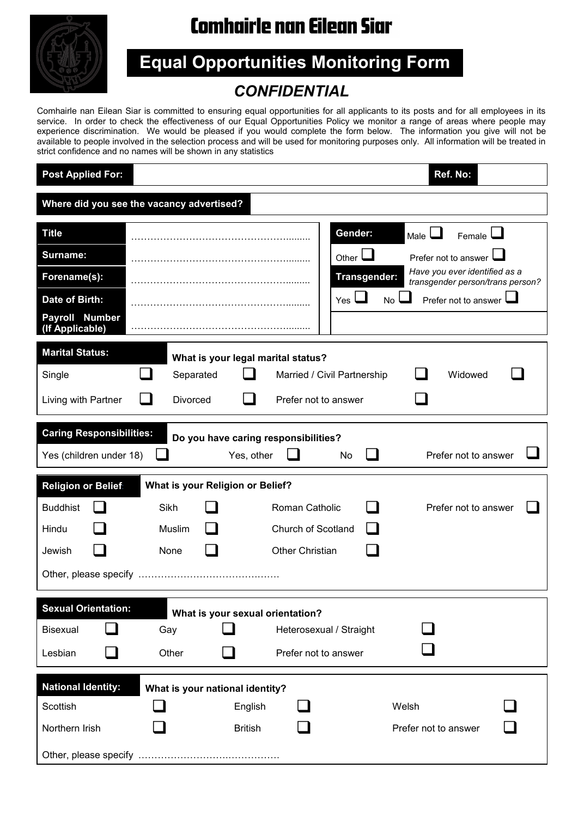

## **Comhairle nan Eilean Siar**

**Equal Opportunities Monitoring Form**

## *CONFIDENTIAL*

Comhairle nan Eilean Siar is committed to ensuring equal opportunities for all applicants to its posts and for all employees in its service. In order to check the effectiveness of our Equal Opportunities Policy we monitor a range of areas where people may experience discrimination. We would be pleased if you would complete the form below. The information you give will not be available to people involved in the selection process and will be used for monitoring purposes only. All information will be treated in strict confidence and no names will be shown in any statistics

| <b>Post Applied For:</b>                  |                                    |                |                                      |                     | Ref. No:                                                          |  |  |  |  |  |  |
|-------------------------------------------|------------------------------------|----------------|--------------------------------------|---------------------|-------------------------------------------------------------------|--|--|--|--|--|--|
| Where did you see the vacancy advertised? |                                    |                |                                      |                     |                                                                   |  |  |  |  |  |  |
| <b>Title</b>                              |                                    |                | Gender:                              |                     | Male I<br>$F$ emale                                               |  |  |  |  |  |  |
| Surname:                                  |                                    |                | Other $\Box$                         |                     | Prefer not to answer                                              |  |  |  |  |  |  |
| Forename(s):                              |                                    |                |                                      | <b>Transgender:</b> | Have you ever identified as a<br>transgender person/trans person? |  |  |  |  |  |  |
| Date of Birth:                            |                                    |                | $Yes \sqcup$                         | No l                | Prefer not to answer                                              |  |  |  |  |  |  |
| Payroll Number<br>(If Applicable)         |                                    |                |                                      |                     |                                                                   |  |  |  |  |  |  |
| <b>Marital Status:</b>                    | What is your legal marital status? |                |                                      |                     |                                                                   |  |  |  |  |  |  |
| Single                                    | Separated                          |                | Married / Civil Partnership          |                     | Widowed                                                           |  |  |  |  |  |  |
| Living with Partner                       | Divorced                           |                | Prefer not to answer                 |                     |                                                                   |  |  |  |  |  |  |
| <b>Caring Responsibilities:</b>           |                                    |                | Do you have caring responsibilities? |                     |                                                                   |  |  |  |  |  |  |
| Yes (children under 18)                   |                                    | Yes, other     | No                                   |                     | Prefer not to answer                                              |  |  |  |  |  |  |
| <b>Religion or Belief</b>                 | What is your Religion or Belief?   |                |                                      |                     |                                                                   |  |  |  |  |  |  |
| <b>Buddhist</b>                           | Sikh                               |                | Roman Catholic                       |                     | Prefer not to answer                                              |  |  |  |  |  |  |
| Hindu                                     | Muslim                             |                | Church of Scotland                   |                     |                                                                   |  |  |  |  |  |  |
| Jewish                                    | None                               |                | <b>Other Christian</b>               |                     |                                                                   |  |  |  |  |  |  |
|                                           |                                    |                |                                      |                     |                                                                   |  |  |  |  |  |  |
| <b>Sexual Orientation:</b>                | What is your sexual orientation?   |                |                                      |                     |                                                                   |  |  |  |  |  |  |
| Bisexual                                  | Gay                                |                | Heterosexual / Straight              |                     |                                                                   |  |  |  |  |  |  |
| Lesbian                                   | Other                              |                | Prefer not to answer                 |                     |                                                                   |  |  |  |  |  |  |
| <b>National Identity:</b>                 | What is your national identity?    |                |                                      |                     |                                                                   |  |  |  |  |  |  |
| Scottish                                  |                                    | English        |                                      |                     | Welsh                                                             |  |  |  |  |  |  |
| Northern Irish                            |                                    | <b>British</b> |                                      |                     | Prefer not to answer                                              |  |  |  |  |  |  |
|                                           |                                    |                |                                      |                     |                                                                   |  |  |  |  |  |  |